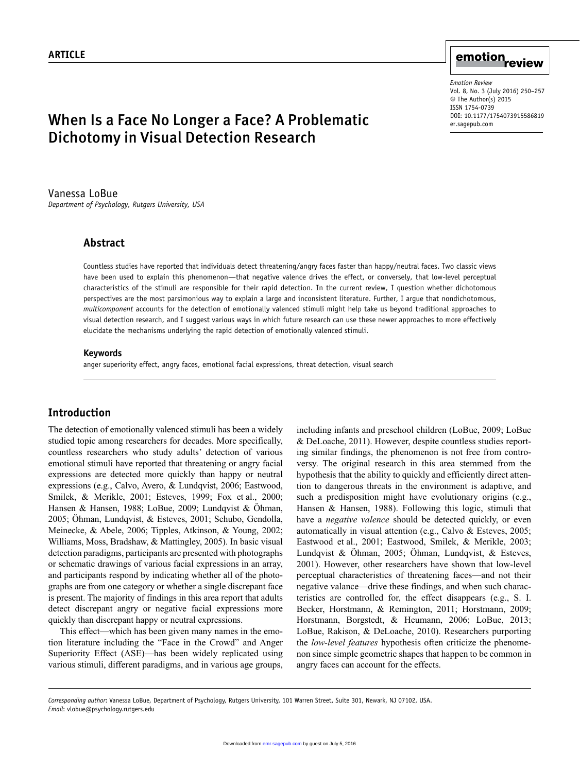# emotion<sub>review</sub>

*Emotion Review* Vol. 8, No. 3 (July 2016) 250–257 © The Author(s) 2015 ISSN 1754-0739 DOI: 10.1177/1754073915586819 er.sagepub.com

# When Is a Face No Longer a Face? A Problematic Dichotomy in Visual Detection Research

Vanessa LoBue *Department of Psychology, Rutgers University, USA*

#### **Abstract**

Countless studies have reported that individuals detect threatening/angry faces faster than happy/neutral faces. Two classic views have been used to explain this phenomenon—that negative valence drives the effect, or conversely, that low-level perceptual characteristics of the stimuli are responsible for their rapid detection. In the current review, I question whether dichotomous perspectives are the most parsimonious way to explain a large and inconsistent literature. Further, I argue that nondichotomous, *multicomponent* accounts for the detection of emotionally valenced stimuli might help take us beyond traditional approaches to visual detection research, and I suggest various ways in which future research can use these newer approaches to more effectively elucidate the mechanisms underlying the rapid detection of emotionally valenced stimuli.

#### **Keywords**

anger superiority effect, angry faces, emotional facial expressions, threat detection, visual search

# **Introduction**

The detection of emotionally valenced stimuli has been a widely studied topic among researchers for decades. More specifically, countless researchers who study adults' detection of various emotional stimuli have reported that threatening or angry facial expressions are detected more quickly than happy or neutral expressions (e.g., Calvo, Avero, & Lundqvist, 2006; Eastwood, Smilek, & Merikle, 2001; Esteves, 1999; Fox et al., 2000; Hansen & Hansen, 1988; LoBue, 2009; Lundqvist & Öhman, 2005; Öhman, Lundqvist, & Esteves, 2001; Schubo, Gendolla, Meinecke, & Abele, 2006; Tipples, Atkinson, & Young, 2002; Williams, Moss, Bradshaw, & Mattingley, 2005). In basic visual detection paradigms, participants are presented with photographs or schematic drawings of various facial expressions in an array, and participants respond by indicating whether all of the photographs are from one category or whether a single discrepant face is present. The majority of findings in this area report that adults detect discrepant angry or negative facial expressions more quickly than discrepant happy or neutral expressions.

This effect—which has been given many names in the emotion literature including the "Face in the Crowd" and Anger Superiority Effect (ASE)—has been widely replicated using various stimuli, different paradigms, and in various age groups,

including infants and preschool children (LoBue, 2009; LoBue & DeLoache, 2011). However, despite countless studies reporting similar findings, the phenomenon is not free from controversy. The original research in this area stemmed from the hypothesis that the ability to quickly and efficiently direct attention to dangerous threats in the environment is adaptive, and such a predisposition might have evolutionary origins (e.g., Hansen & Hansen, 1988). Following this logic, stimuli that have a *negative valence* should be detected quickly, or even automatically in visual attention (e.g., Calvo & Esteves, 2005; Eastwood et al., 2001; Eastwood, Smilek, & Merikle, 2003; Lundqvist & Öhman, 2005; Öhman, Lundqvist, & Esteves, 2001). However, other researchers have shown that low-level perceptual characteristics of threatening faces—and not their negative valance—drive these findings, and when such characteristics are controlled for, the effect disappears (e.g., S. I. Becker, Horstmann, & Remington, 2011; Horstmann, 2009; Horstmann, Borgstedt, & Heumann, 2006; LoBue, 2013; LoBue, Rakison, & DeLoache, 2010). Researchers purporting the *low-level features* hypothesis often criticize the phenomenon since simple geometric shapes that happen to be common in angry faces can account for the effects.

*Corresponding author*: Vanessa LoBue, Department of Psychology, Rutgers University, 101 Warren Street, Suite 301, Newark, NJ 07102, USA. *Email*: [vlobue@psychology.rutgers.edu](mailto:vlobue@psychology.rutgers.edu)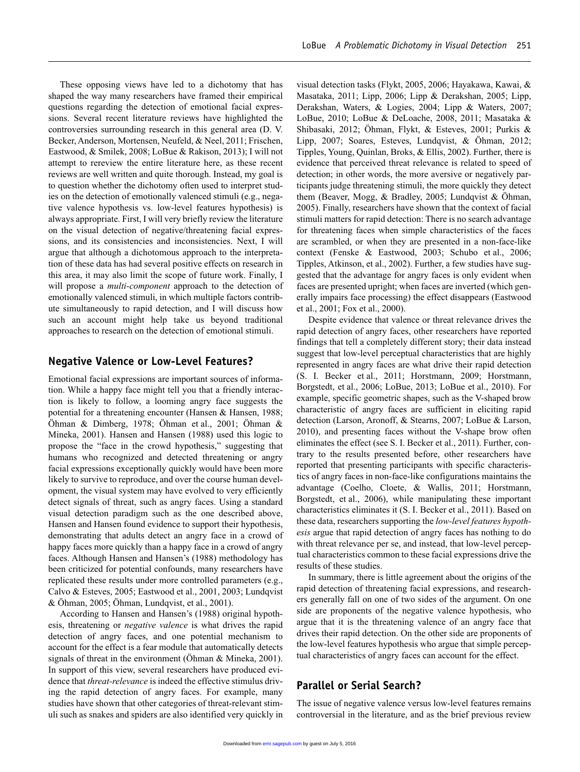These opposing views have led to a dichotomy that has shaped the way many researchers have framed their empirical questions regarding the detection of emotional facial expressions. Several recent literature reviews have highlighted the controversies surrounding research in this general area (D. V. Becker, Anderson, Mortensen, Neufeld, & Neel, 2011; Frischen, Eastwood, & Smilek, 2008; LoBue & Rakison, 2013); I will not attempt to rereview the entire literature here, as these recent reviews are well written and quite thorough. Instead, my goal is to question whether the dichotomy often used to interpret studies on the detection of emotionally valenced stimuli (e.g., negative valence hypothesis vs. low-level features hypothesis) is always appropriate. First, I will very briefly review the literature on the visual detection of negative/threatening facial expressions, and its consistencies and inconsistencies. Next, I will argue that although a dichotomous approach to the interpretation of these data has had several positive effects on research in this area, it may also limit the scope of future work. Finally, I will propose a *multi-component* approach to the detection of emotionally valenced stimuli, in which multiple factors contribute simultaneously to rapid detection, and I will discuss how such an account might help take us beyond traditional approaches to research on the detection of emotional stimuli.

### **Negative Valence or Low-Level Features?**

Emotional facial expressions are important sources of information. While a happy face might tell you that a friendly interaction is likely to follow, a looming angry face suggests the potential for a threatening encounter (Hansen & Hansen, 1988; Öhman & Dimberg, 1978; Öhman et al., 2001; Öhman & Mineka, 2001). Hansen and Hansen (1988) used this logic to propose the "face in the crowd hypothesis," suggesting that humans who recognized and detected threatening or angry facial expressions exceptionally quickly would have been more likely to survive to reproduce, and over the course human development, the visual system may have evolved to very efficiently detect signals of threat, such as angry faces. Using a standard visual detection paradigm such as the one described above, Hansen and Hansen found evidence to support their hypothesis, demonstrating that adults detect an angry face in a crowd of happy faces more quickly than a happy face in a crowd of angry faces. Although Hansen and Hansen's (1988) methodology has been criticized for potential confounds, many researchers have replicated these results under more controlled parameters (e.g., Calvo & Esteves, 2005; Eastwood et al., 2001, 2003; Lundqvist & Öhman, 2005; Öhman, Lundqvist, et al., 2001).

According to Hansen and Hansen's (1988) original hypothesis, threatening or *negative valence* is what drives the rapid detection of angry faces, and one potential mechanism to account for the effect is a fear module that automatically detects signals of threat in the environment (Öhman & Mineka, 2001). In support of this view, several researchers have produced evidence that *threat-relevance* is indeed the effective stimulus driving the rapid detection of angry faces. For example, many studies have shown that other categories of threat-relevant stimuli such as snakes and spiders are also identified very quickly in

visual detection tasks (Flykt, 2005, 2006; Hayakawa, Kawai, & Masataka, 2011; Lipp, 2006; Lipp & Derakshan, 2005; Lipp, Derakshan, Waters, & Logies, 2004; Lipp & Waters, 2007; LoBue, 2010; LoBue & DeLoache, 2008, 2011; Masataka & Shibasaki, 2012; Öhman, Flykt, & Esteves, 2001; Purkis & Lipp, 2007; Soares, Esteves, Lundqvist, & Öhman, 2012; Tipples, Young, Quinlan, Broks, & Ellis, 2002). Further, there is evidence that perceived threat relevance is related to speed of detection; in other words, the more aversive or negatively participants judge threatening stimuli, the more quickly they detect them (Beaver, Mogg, & Bradley, 2005; Lundqvist & Öhman, 2005). Finally, researchers have shown that the context of facial stimuli matters for rapid detection: There is no search advantage for threatening faces when simple characteristics of the faces are scrambled, or when they are presented in a non-face-like context (Fenske & Eastwood, 2003; Schubo et al., 2006; Tipples, Atkinson, et al., 2002). Further, a few studies have suggested that the advantage for angry faces is only evident when faces are presented upright; when faces are inverted (which generally impairs face processing) the effect disappears (Eastwood et al., 2001; Fox et al., 2000).

Despite evidence that valence or threat relevance drives the rapid detection of angry faces, other researchers have reported findings that tell a completely different story; their data instead suggest that low-level perceptual characteristics that are highly represented in angry faces are what drive their rapid detection (S. I. Becker et al., 2011; Horstmann, 2009; Horstmann, Borgstedt, et al., 2006; LoBue, 2013; LoBue et al., 2010). For example, specific geometric shapes, such as the V-shaped brow characteristic of angry faces are sufficient in eliciting rapid detection (Larson, Aronoff, & Stearns, 2007; LoBue & Larson, 2010), and presenting faces without the V-shape brow often eliminates the effect (see S. I. Becker et al., 2011). Further, contrary to the results presented before, other researchers have reported that presenting participants with specific characteristics of angry faces in non-face-like configurations maintains the advantage (Coelho, Cloete, & Wallis, 2011; Horstmann, Borgstedt, et al., 2006), while manipulating these important characteristics eliminates it (S. I. Becker et al., 2011). Based on these data, researchers supporting the *low-level features hypothesis* argue that rapid detection of angry faces has nothing to do with threat relevance per se, and instead, that low-level perceptual characteristics common to these facial expressions drive the results of these studies.

In summary, there is little agreement about the origins of the rapid detection of threatening facial expressions, and researchers generally fall on one of two sides of the argument. On one side are proponents of the negative valence hypothesis, who argue that it is the threatening valence of an angry face that drives their rapid detection. On the other side are proponents of the low-level features hypothesis who argue that simple perceptual characteristics of angry faces can account for the effect.

## **Parallel or Serial Search?**

The issue of negative valence versus low-level features remains controversial in the literature, and as the brief previous review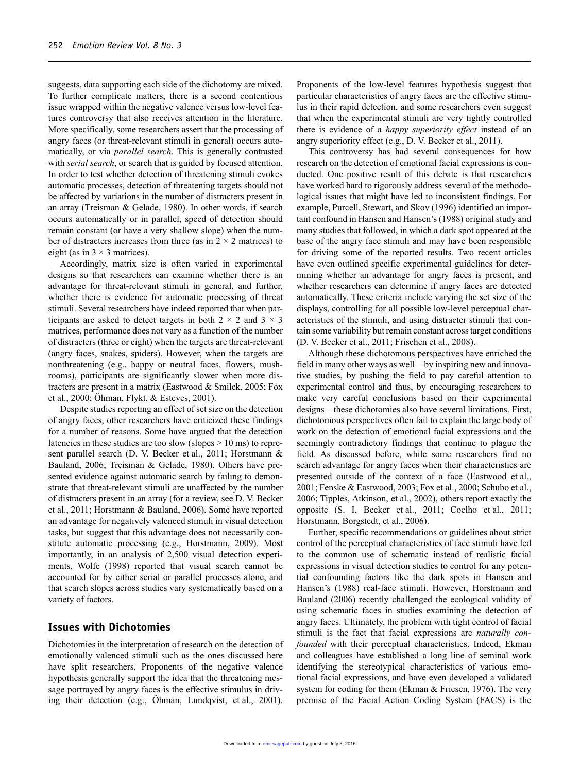suggests, data supporting each side of the dichotomy are mixed. To further complicate matters, there is a second contentious issue wrapped within the negative valence versus low-level features controversy that also receives attention in the literature. More specifically, some researchers assert that the processing of angry faces (or threat-relevant stimuli in general) occurs automatically, or via *parallel search*. This is generally contrasted with *serial search*, or search that is guided by focused attention. In order to test whether detection of threatening stimuli evokes automatic processes, detection of threatening targets should not be affected by variations in the number of distracters present in an array (Treisman & Gelade, 1980). In other words, if search occurs automatically or in parallel, speed of detection should remain constant (or have a very shallow slope) when the number of distracters increases from three (as in  $2 \times 2$  matrices) to eight (as in  $3 \times 3$  matrices).

Accordingly, matrix size is often varied in experimental designs so that researchers can examine whether there is an advantage for threat-relevant stimuli in general, and further, whether there is evidence for automatic processing of threat stimuli. Several researchers have indeed reported that when participants are asked to detect targets in both  $2 \times 2$  and  $3 \times 3$ matrices, performance does not vary as a function of the number of distracters (three or eight) when the targets are threat-relevant (angry faces, snakes, spiders). However, when the targets are nonthreatening (e.g., happy or neutral faces, flowers, mushrooms), participants are significantly slower when more distracters are present in a matrix (Eastwood & Smilek, 2005; Fox et al., 2000; Öhman, Flykt, & Esteves, 2001).

Despite studies reporting an effect of set size on the detection of angry faces, other researchers have criticized these findings for a number of reasons. Some have argued that the detection latencies in these studies are too slow (slopes > 10 ms) to represent parallel search (D. V. Becker et al., 2011; Horstmann & Bauland, 2006; Treisman & Gelade, 1980). Others have presented evidence against automatic search by failing to demonstrate that threat-relevant stimuli are unaffected by the number of distracters present in an array (for a review, see D. V. Becker et al., 2011; Horstmann & Bauland, 2006). Some have reported an advantage for negatively valenced stimuli in visual detection tasks, but suggest that this advantage does not necessarily constitute automatic processing (e.g., Horstmann, 2009). Most importantly, in an analysis of 2,500 visual detection experiments, Wolfe (1998) reported that visual search cannot be accounted for by either serial or parallel processes alone, and that search slopes across studies vary systematically based on a variety of factors.

#### **Issues with Dichotomies**

Dichotomies in the interpretation of research on the detection of emotionally valenced stimuli such as the ones discussed here have split researchers. Proponents of the negative valence hypothesis generally support the idea that the threatening message portrayed by angry faces is the effective stimulus in driving their detection (e.g., Öhman, Lundqvist, et al., 2001).

Proponents of the low-level features hypothesis suggest that particular characteristics of angry faces are the effective stimulus in their rapid detection, and some researchers even suggest that when the experimental stimuli are very tightly controlled there is evidence of a *happy superiority effect* instead of an angry superiority effect (e.g., D. V. Becker et al., 2011).

This controversy has had several consequences for how research on the detection of emotional facial expressions is conducted. One positive result of this debate is that researchers have worked hard to rigorously address several of the methodological issues that might have led to inconsistent findings. For example, Purcell, Stewart, and Skov (1996) identified an important confound in Hansen and Hansen's (1988) original study and many studies that followed, in which a dark spot appeared at the base of the angry face stimuli and may have been responsible for driving some of the reported results. Two recent articles have even outlined specific experimental guidelines for determining whether an advantage for angry faces is present, and whether researchers can determine if angry faces are detected automatically. These criteria include varying the set size of the displays, controlling for all possible low-level perceptual characteristics of the stimuli, and using distracter stimuli that contain some variability but remain constant across target conditions (D. V. Becker et al., 2011; Frischen et al., 2008).

Although these dichotomous perspectives have enriched the field in many other ways as well—by inspiring new and innovative studies, by pushing the field to pay careful attention to experimental control and thus, by encouraging researchers to make very careful conclusions based on their experimental designs—these dichotomies also have several limitations. First, dichotomous perspectives often fail to explain the large body of work on the detection of emotional facial expressions and the seemingly contradictory findings that continue to plague the field. As discussed before, while some researchers find no search advantage for angry faces when their characteristics are presented outside of the context of a face (Eastwood et al., 2001; Fenske & Eastwood, 2003; Fox et al., 2000; Schubo et al., 2006; Tipples, Atkinson, et al., 2002), others report exactly the opposite (S. I. Becker et al., 2011; Coelho et al., 2011; Horstmann, Borgstedt, et al., 2006).

Further, specific recommendations or guidelines about strict control of the perceptual characteristics of face stimuli have led to the common use of schematic instead of realistic facial expressions in visual detection studies to control for any potential confounding factors like the dark spots in Hansen and Hansen's (1988) real-face stimuli. However, Horstmann and Bauland (2006) recently challenged the ecological validity of using schematic faces in studies examining the detection of angry faces. Ultimately, the problem with tight control of facial stimuli is the fact that facial expressions are *naturally confounded* with their perceptual characteristics. Indeed, Ekman and colleagues have established a long line of seminal work identifying the stereotypical characteristics of various emotional facial expressions, and have even developed a validated system for coding for them (Ekman & Friesen, 1976). The very premise of the Facial Action Coding System (FACS) is the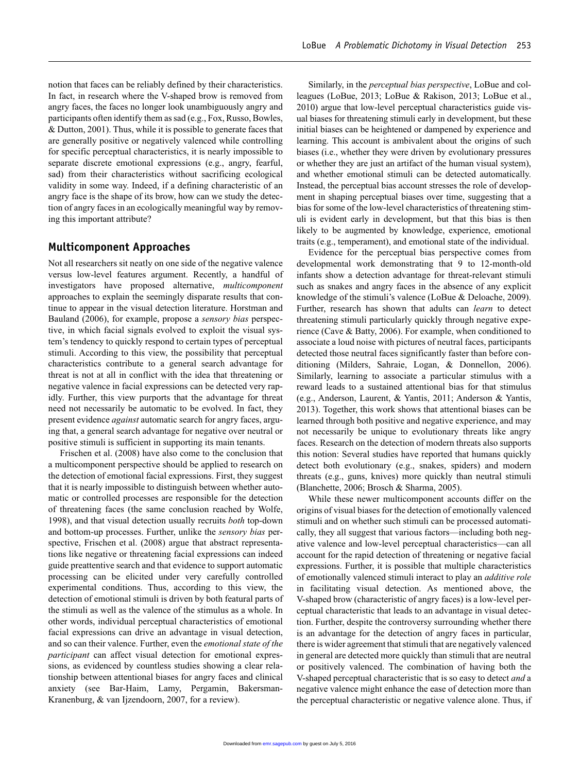notion that faces can be reliably defined by their characteristics. In fact, in research where the V-shaped brow is removed from angry faces, the faces no longer look unambiguously angry and participants often identify them as sad (e.g., Fox, Russo, Bowles, & Dutton, 2001). Thus, while it is possible to generate faces that are generally positive or negatively valenced while controlling for specific perceptual characteristics, it is nearly impossible to separate discrete emotional expressions (e.g., angry, fearful, sad) from their characteristics without sacrificing ecological validity in some way. Indeed, if a defining characteristic of an angry face is the shape of its brow, how can we study the detection of angry faces in an ecologically meaningful way by removing this important attribute?

#### **Multicomponent Approaches**

Not all researchers sit neatly on one side of the negative valence versus low-level features argument. Recently, a handful of investigators have proposed alternative, *multicomponent* approaches to explain the seemingly disparate results that continue to appear in the visual detection literature. Horstman and Bauland (2006), for example, propose a *sensory bias* perspective, in which facial signals evolved to exploit the visual system's tendency to quickly respond to certain types of perceptual stimuli. According to this view, the possibility that perceptual characteristics contribute to a general search advantage for threat is not at all in conflict with the idea that threatening or negative valence in facial expressions can be detected very rapidly. Further, this view purports that the advantage for threat need not necessarily be automatic to be evolved. In fact, they present evidence *against* automatic search for angry faces, arguing that, a general search advantage for negative over neutral or positive stimuli is sufficient in supporting its main tenants.

Frischen et al. (2008) have also come to the conclusion that a multicomponent perspective should be applied to research on the detection of emotional facial expressions. First, they suggest that it is nearly impossible to distinguish between whether automatic or controlled processes are responsible for the detection of threatening faces (the same conclusion reached by Wolfe, 1998), and that visual detection usually recruits *both* top-down and bottom-up processes. Further, unlike the *sensory bias* perspective, Frischen et al. (2008) argue that abstract representations like negative or threatening facial expressions can indeed guide preattentive search and that evidence to support automatic processing can be elicited under very carefully controlled experimental conditions. Thus, according to this view, the detection of emotional stimuli is driven by both featural parts of the stimuli as well as the valence of the stimulus as a whole. In other words, individual perceptual characteristics of emotional facial expressions can drive an advantage in visual detection, and so can their valence. Further, even the *emotional state of the participant* can affect visual detection for emotional expressions, as evidenced by countless studies showing a clear relationship between attentional biases for angry faces and clinical anxiety (see Bar-Haim, Lamy, Pergamin, Bakersman-Kranenburg, & van Ijzendoorn, 2007, for a review).

Similarly, in the *perceptual bias perspective*, LoBue and colleagues (LoBue, 2013; LoBue & Rakison, 2013; LoBue et al., 2010) argue that low-level perceptual characteristics guide visual biases for threatening stimuli early in development, but these initial biases can be heightened or dampened by experience and learning. This account is ambivalent about the origins of such biases (i.e., whether they were driven by evolutionary pressures or whether they are just an artifact of the human visual system), and whether emotional stimuli can be detected automatically. Instead, the perceptual bias account stresses the role of development in shaping perceptual biases over time, suggesting that a bias for some of the low-level characteristics of threatening stimuli is evident early in development, but that this bias is then likely to be augmented by knowledge, experience, emotional traits (e.g., temperament), and emotional state of the individual.

Evidence for the perceptual bias perspective comes from developmental work demonstrating that 9 to 12-month-old infants show a detection advantage for threat-relevant stimuli such as snakes and angry faces in the absence of any explicit knowledge of the stimuli's valence (LoBue & Deloache, 2009). Further, research has shown that adults can *learn* to detect threatening stimuli particularly quickly through negative experience (Cave & Batty, 2006). For example, when conditioned to associate a loud noise with pictures of neutral faces, participants detected those neutral faces significantly faster than before conditioning (Milders, Sahraie, Logan, & Donnellon, 2006). Similarly, learning to associate a particular stimulus with a reward leads to a sustained attentional bias for that stimulus (e.g., Anderson, Laurent, & Yantis, 2011; Anderson & Yantis, 2013). Together, this work shows that attentional biases can be learned through both positive and negative experience, and may not necessarily be unique to evolutionary threats like angry faces. Research on the detection of modern threats also supports this notion: Several studies have reported that humans quickly detect both evolutionary (e.g., snakes, spiders) and modern threats (e.g., guns, knives) more quickly than neutral stimuli (Blanchette, 2006; Brosch & Sharma, 2005).

While these newer multicomponent accounts differ on the origins of visual biases for the detection of emotionally valenced stimuli and on whether such stimuli can be processed automatically, they all suggest that various factors—including both negative valence and low-level perceptual characteristics—can all account for the rapid detection of threatening or negative facial expressions. Further, it is possible that multiple characteristics of emotionally valenced stimuli interact to play an *additive role* in facilitating visual detection. As mentioned above, the V-shaped brow (characteristic of angry faces) is a low-level perceptual characteristic that leads to an advantage in visual detection. Further, despite the controversy surrounding whether there is an advantage for the detection of angry faces in particular, there is wider agreement that stimuli that are negatively valenced in general are detected more quickly than stimuli that are neutral or positively valenced. The combination of having both the V-shaped perceptual characteristic that is so easy to detect *and* a negative valence might enhance the ease of detection more than the perceptual characteristic or negative valence alone. Thus, if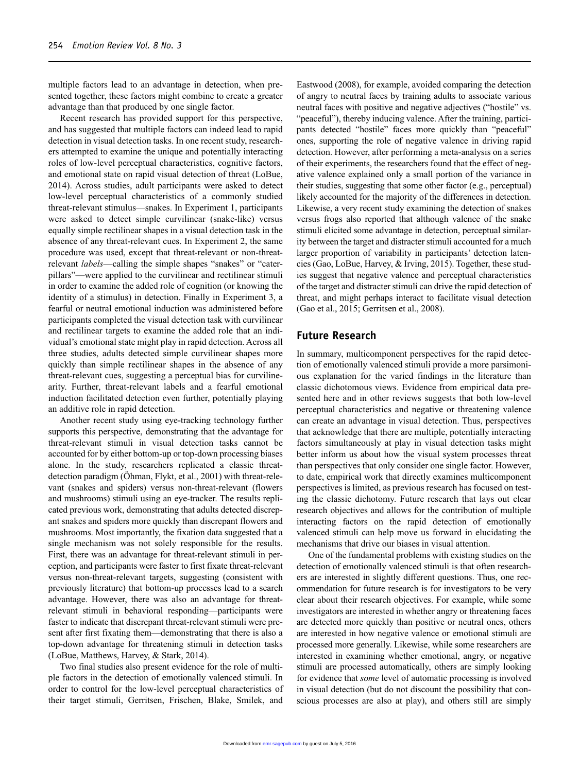multiple factors lead to an advantage in detection, when presented together, these factors might combine to create a greater advantage than that produced by one single factor.

Recent research has provided support for this perspective, and has suggested that multiple factors can indeed lead to rapid detection in visual detection tasks. In one recent study, researchers attempted to examine the unique and potentially interacting roles of low-level perceptual characteristics, cognitive factors, and emotional state on rapid visual detection of threat (LoBue, 2014). Across studies, adult participants were asked to detect low-level perceptual characteristics of a commonly studied threat-relevant stimulus—snakes. In Experiment 1, participants were asked to detect simple curvilinear (snake-like) versus equally simple rectilinear shapes in a visual detection task in the absence of any threat-relevant cues. In Experiment 2, the same procedure was used, except that threat-relevant or non-threatrelevant *labels*—calling the simple shapes "snakes" or "caterpillars"—were applied to the curvilinear and rectilinear stimuli in order to examine the added role of cognition (or knowing the identity of a stimulus) in detection. Finally in Experiment 3, a fearful or neutral emotional induction was administered before participants completed the visual detection task with curvilinear and rectilinear targets to examine the added role that an individual's emotional state might play in rapid detection. Across all three studies, adults detected simple curvilinear shapes more quickly than simple rectilinear shapes in the absence of any threat-relevant cues, suggesting a perceptual bias for curvilinearity. Further, threat-relevant labels and a fearful emotional induction facilitated detection even further, potentially playing an additive role in rapid detection.

Another recent study using eye-tracking technology further supports this perspective, demonstrating that the advantage for threat-relevant stimuli in visual detection tasks cannot be accounted for by either bottom-up or top-down processing biases alone. In the study, researchers replicated a classic threatdetection paradigm (Öhman, Flykt, et al., 2001) with threat-relevant (snakes and spiders) versus non-threat-relevant (flowers and mushrooms) stimuli using an eye-tracker. The results replicated previous work, demonstrating that adults detected discrepant snakes and spiders more quickly than discrepant flowers and mushrooms. Most importantly, the fixation data suggested that a single mechanism was not solely responsible for the results. First, there was an advantage for threat-relevant stimuli in perception, and participants were faster to first fixate threat-relevant versus non-threat-relevant targets, suggesting (consistent with previously literature) that bottom-up processes lead to a search advantage. However, there was also an advantage for threatrelevant stimuli in behavioral responding—participants were faster to indicate that discrepant threat-relevant stimuli were present after first fixating them—demonstrating that there is also a top-down advantage for threatening stimuli in detection tasks (LoBue, Matthews, Harvey, & Stark, 2014).

Two final studies also present evidence for the role of multiple factors in the detection of emotionally valenced stimuli. In order to control for the low-level perceptual characteristics of their target stimuli, Gerritsen, Frischen, Blake, Smilek, and

Eastwood (2008), for example, avoided comparing the detection of angry to neutral faces by training adults to associate various neutral faces with positive and negative adjectives ("hostile" vs. "peaceful"), thereby inducing valence. After the training, participants detected "hostile" faces more quickly than "peaceful" ones, supporting the role of negative valence in driving rapid detection. However, after performing a meta-analysis on a series of their experiments, the researchers found that the effect of negative valence explained only a small portion of the variance in their studies, suggesting that some other factor (e.g., perceptual) likely accounted for the majority of the differences in detection. Likewise, a very recent study examining the detection of snakes versus frogs also reported that although valence of the snake stimuli elicited some advantage in detection, perceptual similarity between the target and distracter stimuli accounted for a much larger proportion of variability in participants' detection latencies (Gao, LoBue, Harvey, & Irving, 2015). Together, these studies suggest that negative valence and perceptual characteristics of the target and distracter stimuli can drive the rapid detection of threat, and might perhaps interact to facilitate visual detection (Gao et al., 2015; Gerritsen et al., 2008).

#### **Future Research**

In summary, multicomponent perspectives for the rapid detection of emotionally valenced stimuli provide a more parsimonious explanation for the varied findings in the literature than classic dichotomous views. Evidence from empirical data presented here and in other reviews suggests that both low-level perceptual characteristics and negative or threatening valence can create an advantage in visual detection. Thus, perspectives that acknowledge that there are multiple, potentially interacting factors simultaneously at play in visual detection tasks might better inform us about how the visual system processes threat than perspectives that only consider one single factor. However, to date, empirical work that directly examines multicomponent perspectives is limited, as previous research has focused on testing the classic dichotomy. Future research that lays out clear research objectives and allows for the contribution of multiple interacting factors on the rapid detection of emotionally valenced stimuli can help move us forward in elucidating the mechanisms that drive our biases in visual attention.

One of the fundamental problems with existing studies on the detection of emotionally valenced stimuli is that often researchers are interested in slightly different questions. Thus, one recommendation for future research is for investigators to be very clear about their research objectives. For example, while some investigators are interested in whether angry or threatening faces are detected more quickly than positive or neutral ones, others are interested in how negative valence or emotional stimuli are processed more generally. Likewise, while some researchers are interested in examining whether emotional, angry, or negative stimuli are processed automatically, others are simply looking for evidence that *some* level of automatic processing is involved in visual detection (but do not discount the possibility that conscious processes are also at play), and others still are simply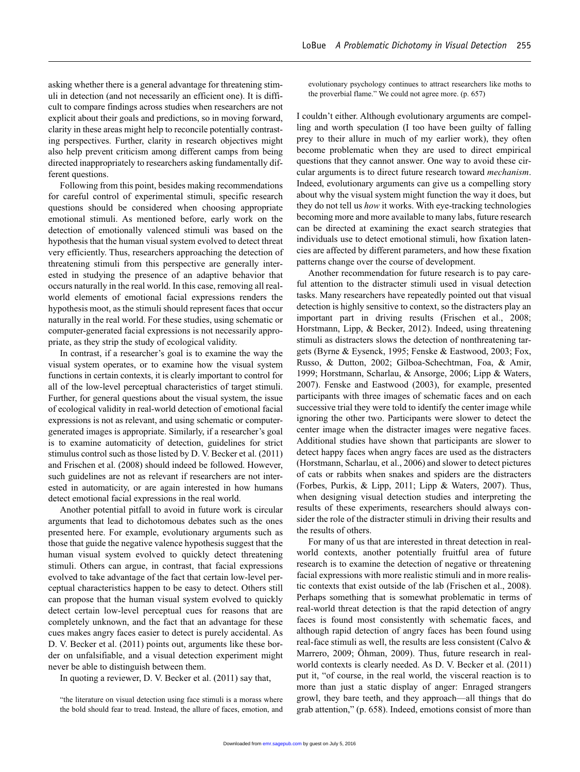asking whether there is a general advantage for threatening stimuli in detection (and not necessarily an efficient one). It is difficult to compare findings across studies when researchers are not explicit about their goals and predictions, so in moving forward, clarity in these areas might help to reconcile potentially contrasting perspectives. Further, clarity in research objectives might also help prevent criticism among different camps from being directed inappropriately to researchers asking fundamentally different questions.

Following from this point, besides making recommendations for careful control of experimental stimuli, specific research questions should be considered when choosing appropriate emotional stimuli. As mentioned before, early work on the detection of emotionally valenced stimuli was based on the hypothesis that the human visual system evolved to detect threat very efficiently. Thus, researchers approaching the detection of threatening stimuli from this perspective are generally interested in studying the presence of an adaptive behavior that occurs naturally in the real world. In this case, removing all realworld elements of emotional facial expressions renders the hypothesis moot, as the stimuli should represent faces that occur naturally in the real world. For these studies, using schematic or computer-generated facial expressions is not necessarily appropriate, as they strip the study of ecological validity.

In contrast, if a researcher's goal is to examine the way the visual system operates, or to examine how the visual system functions in certain contexts, it is clearly important to control for all of the low-level perceptual characteristics of target stimuli. Further, for general questions about the visual system, the issue of ecological validity in real-world detection of emotional facial expressions is not as relevant, and using schematic or computergenerated images is appropriate. Similarly, if a researcher's goal is to examine automaticity of detection, guidelines for strict stimulus control such as those listed by D. V. Becker et al. (2011) and Frischen et al. (2008) should indeed be followed. However, such guidelines are not as relevant if researchers are not interested in automaticity, or are again interested in how humans detect emotional facial expressions in the real world.

Another potential pitfall to avoid in future work is circular arguments that lead to dichotomous debates such as the ones presented here. For example, evolutionary arguments such as those that guide the negative valence hypothesis suggest that the human visual system evolved to quickly detect threatening stimuli. Others can argue, in contrast, that facial expressions evolved to take advantage of the fact that certain low-level perceptual characteristics happen to be easy to detect. Others still can propose that the human visual system evolved to quickly detect certain low-level perceptual cues for reasons that are completely unknown, and the fact that an advantage for these cues makes angry faces easier to detect is purely accidental. As D. V. Becker et al. (2011) points out, arguments like these border on unfalsifiable, and a visual detection experiment might never be able to distinguish between them.

In quoting a reviewer, D. V. Becker et al. (2011) say that,

evolutionary psychology continues to attract researchers like moths to the proverbial flame." We could not agree more. (p. 657)

I couldn't either. Although evolutionary arguments are compelling and worth speculation (I too have been guilty of falling prey to their allure in much of my earlier work), they often become problematic when they are used to direct empirical questions that they cannot answer. One way to avoid these circular arguments is to direct future research toward *mechanism*. Indeed, evolutionary arguments can give us a compelling story about why the visual system might function the way it does, but they do not tell us *how* it works. With eye-tracking technologies becoming more and more available to many labs, future research can be directed at examining the exact search strategies that individuals use to detect emotional stimuli, how fixation latencies are affected by different parameters, and how these fixation patterns change over the course of development.

Another recommendation for future research is to pay careful attention to the distracter stimuli used in visual detection tasks. Many researchers have repeatedly pointed out that visual detection is highly sensitive to context, so the distracters play an important part in driving results (Frischen et al., 2008; Horstmann, Lipp, & Becker, 2012). Indeed, using threatening stimuli as distracters slows the detection of nonthreatening targets (Byrne & Eysenck, 1995; Fenske & Eastwood, 2003; Fox, Russo, & Dutton, 2002; Gilboa-Schechtman, Foa, & Amir, 1999; Horstmann, Scharlau, & Ansorge, 2006; Lipp & Waters, 2007). Fenske and Eastwood (2003), for example, presented participants with three images of schematic faces and on each successive trial they were told to identify the center image while ignoring the other two. Participants were slower to detect the center image when the distracter images were negative faces. Additional studies have shown that participants are slower to detect happy faces when angry faces are used as the distracters (Horstmann, Scharlau, et al., 2006) and slower to detect pictures of cats or rabbits when snakes and spiders are the distracters (Forbes, Purkis, & Lipp, 2011; Lipp & Waters, 2007). Thus, when designing visual detection studies and interpreting the results of these experiments, researchers should always consider the role of the distracter stimuli in driving their results and the results of others.

For many of us that are interested in threat detection in realworld contexts, another potentially fruitful area of future research is to examine the detection of negative or threatening facial expressions with more realistic stimuli and in more realistic contexts that exist outside of the lab (Frischen et al., 2008). Perhaps something that is somewhat problematic in terms of real-world threat detection is that the rapid detection of angry faces is found most consistently with schematic faces, and although rapid detection of angry faces has been found using real-face stimuli as well, the results are less consistent (Calvo & Marrero, 2009; Öhman, 2009). Thus, future research in realworld contexts is clearly needed. As D. V. Becker et al. (2011) put it, "of course, in the real world, the visceral reaction is to more than just a static display of anger: Enraged strangers growl, they bare teeth, and they approach—all things that do grab attention," (p. 658). Indeed, emotions consist of more than

<sup>&</sup>quot;the literature on visual detection using face stimuli is a morass where the bold should fear to tread. Instead, the allure of faces, emotion, and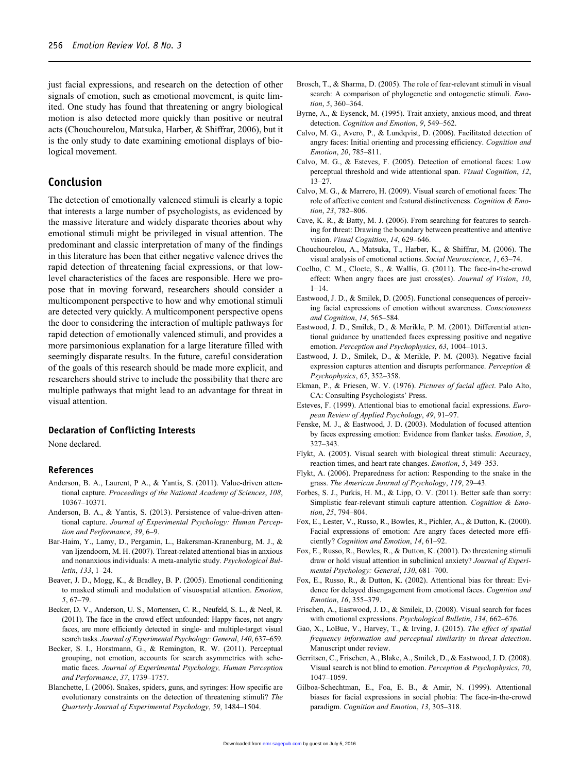just facial expressions, and research on the detection of other signals of emotion, such as emotional movement, is quite limited. One study has found that threatening or angry biological motion is also detected more quickly than positive or neutral acts (Chouchourelou, Matsuka, Harber, & Shiffrar, 2006), but it is the only study to date examining emotional displays of biological movement.

### **Conclusion**

The detection of emotionally valenced stimuli is clearly a topic that interests a large number of psychologists, as evidenced by the massive literature and widely disparate theories about why emotional stimuli might be privileged in visual attention. The predominant and classic interpretation of many of the findings in this literature has been that either negative valence drives the rapid detection of threatening facial expressions, or that lowlevel characteristics of the faces are responsible. Here we propose that in moving forward, researchers should consider a multicomponent perspective to how and why emotional stimuli are detected very quickly. A multicomponent perspective opens the door to considering the interaction of multiple pathways for rapid detection of emotionally valenced stimuli, and provides a more parsimonious explanation for a large literature filled with seemingly disparate results. In the future, careful consideration of the goals of this research should be made more explicit, and researchers should strive to include the possibility that there are multiple pathways that might lead to an advantage for threat in visual attention.

#### **Declaration of Conflicting Interests**

None declared.

#### **References**

- Anderson, B. A., Laurent, P A., & Yantis, S. (2011). Value-driven attentional capture. *Proceedings of the National Academy of Sciences*, *108*, 10367–10371.
- Anderson, B. A., & Yantis, S. (2013). Persistence of value-driven attentional capture. *Journal of Experimental Psychology: Human Perception and Performance*, *39*, 6–9.
- Bar-Haim, Y., Lamy, D., Pergamin, L., Bakersman-Kranenburg, M. J., & van Ijzendoorn, M. H. (2007). Threat-related attentional bias in anxious and nonanxious individuals: A meta-analytic study. *Psychological Bulletin*, *133*, 1–24.
- Beaver, J. D., Mogg, K., & Bradley, B. P. (2005). Emotional conditioning to masked stimuli and modulation of visuospatial attention. *Emotion*, *5*, 67–79.
- Becker, D. V., Anderson, U. S., Mortensen, C. R., Neufeld, S. L., & Neel, R. (2011). The face in the crowd effect unfounded: Happy faces, not angry faces, are more efficiently detected in single- and multiple-target visual search tasks. *Journal of Experimental Psychology: General*, *140*, 637–659.
- Becker, S. I., Horstmann, G., & Remington, R. W. (2011). Perceptual grouping, not emotion, accounts for search asymmetries with schematic faces. *Journal of Experimental Psychology, Human Perception and Performance*, *37*, 1739–1757.
- Blanchette, I. (2006). Snakes, spiders, guns, and syringes: How specific are evolutionary constraints on the detection of threatening stimuli? *The Quarterly Journal of Experimental Psychology*, *59*, 1484–1504.
- Brosch, T., & Sharma, D. (2005). The role of fear-relevant stimuli in visual search: A comparison of phylogenetic and ontogenetic stimuli. *Emotion*, *5*, 360–364.
- Byrne, A., & Eysenck, M. (1995). Trait anxiety, anxious mood, and threat detection. *Cognition and Emotion*, *9*, 549–562.
- Calvo, M. G., Avero, P., & Lundqvist, D. (2006). Facilitated detection of angry faces: Initial orienting and processing efficiency. *Cognition and Emotion*, *20*, 785–811.
- Calvo, M. G., & Esteves, F. (2005). Detection of emotional faces: Low perceptual threshold and wide attentional span. *Visual Cognition*, *12*, 13–27.
- Calvo, M. G., & Marrero, H. (2009). Visual search of emotional faces: The role of affective content and featural distinctiveness. *Cognition & Emotion*, *23*, 782–806.
- Cave, K. R., & Batty, M. J. (2006). From searching for features to searching for threat: Drawing the boundary between preattentive and attentive vision. *Visual Cognition*, *14*, 629–646.
- Chouchourelou, A., Matsuka, T., Harber, K., & Shiffrar, M. (2006). The visual analysis of emotional actions. *Social Neuroscience*, *1*, 63–74.
- Coelho, C. M., Cloete, S., & Wallis, G. (2011). The face-in-the-crowd effect: When angry faces are just cross(es). *Journal of Vision*, *10*,  $1 - 14$
- Eastwood, J. D., & Smilek, D. (2005). Functional consequences of perceiving facial expressions of emotion without awareness. *Consciousness and Cognition*, *14*, 565–584.
- Eastwood, J. D., Smilek, D., & Merikle, P. M. (2001). Differential attentional guidance by unattended faces expressing positive and negative emotion. *Perception and Psychophysics*, *63*, 1004–1013.
- Eastwood, J. D., Smilek, D., & Merikle, P. M. (2003). Negative facial expression captures attention and disrupts performance. *Perception & Psychophysics*, *65*, 352–358.
- Ekman, P., & Friesen, W. V. (1976). *Pictures of facial affect*. Palo Alto, CA: Consulting Psychologists' Press.
- Esteves, F. (1999). Attentional bias to emotional facial expressions. *European Review of Applied Psychology*, *49*, 91–97.
- Fenske, M. J., & Eastwood, J. D. (2003). Modulation of focused attention by faces expressing emotion: Evidence from flanker tasks. *Emotion*, *3*, 327–343.
- Flykt, A. (2005). Visual search with biological threat stimuli: Accuracy, reaction times, and heart rate changes. *Emotion*, *5*, 349–353.
- Flykt, A. (2006). Preparedness for action: Responding to the snake in the grass. *The American Journal of Psychology*, *119*, 29–43.
- Forbes, S. J., Purkis, H. M., & Lipp, O. V. (2011). Better safe than sorry: Simplistic fear-relevant stimuli capture attention. *Cognition & Emotion*, *25*, 794–804.
- Fox, E., Lester, V., Russo, R., Bowles, R., Pichler, A., & Dutton, K. (2000). Facial expressions of emotion: Are angry faces detected more efficiently? *Cognition and Emotion*, *14*, 61–92.
- Fox, E., Russo, R., Bowles, R., & Dutton, K. (2001). Do threatening stimuli draw or hold visual attention in subclinical anxiety? *Journal of Experimental Psychology: General*, *130*, 681–700.
- Fox, E., Russo, R., & Dutton, K. (2002). Attentional bias for threat: Evidence for delayed disengagement from emotional faces. *Cognition and Emotion*, *16*, 355–379.
- Frischen, A., Eastwood, J. D., & Smilek, D. (2008). Visual search for faces with emotional expressions. *Psychological Bulletin*, *134*, 662–676.
- Gao, X., LoBue, V., Harvey, T., & Irving, J. (2015). *The effect of spatial frequency information and perceptual similarity in threat detection*. Manuscript under review.
- Gerritsen, C., Frischen, A., Blake, A., Smilek, D., & Eastwood, J. D. (2008). Visual search is not blind to emotion. *Perception & Psychophysics*, *70*, 1047–1059.
- Gilboa-Schechtman, E., Foa, E. B., & Amir, N. (1999). Attentional biases for facial expressions in social phobia: The face-in-the-crowd paradigm. *Cognition and Emotion*, *13*, 305–318.